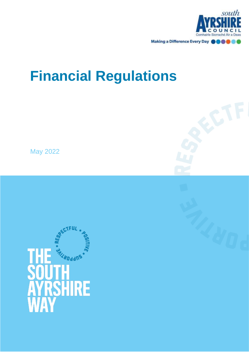

# **Financial Regulations**

May 2022

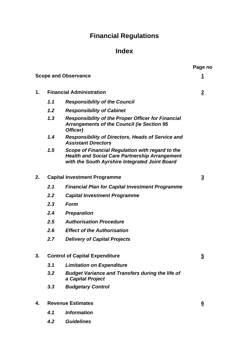# **Financial Regulations**

# **Index**

**Page no**

|    | <b>Scope and Observance</b>           |                                                                                                                                                             |                |
|----|---------------------------------------|-------------------------------------------------------------------------------------------------------------------------------------------------------------|----------------|
| 1. | <b>Financial Administration</b>       |                                                                                                                                                             | $\overline{2}$ |
|    | 1.1                                   | <b>Responsibility of the Council</b>                                                                                                                        |                |
|    | 1.2                                   | <b>Responsibility of Cabinet</b>                                                                                                                            |                |
|    | 1,3                                   | <b>Responsibility of the Proper Officer for Financial</b><br><b>Arrangements of the Council (ie Section 95</b><br>Officer)                                  |                |
|    | 1.4                                   | <b>Responsibility of Directors, Heads of Service and</b><br><b>Assistant Directors</b>                                                                      |                |
|    | 1.5                                   | Scope of Financial Regulation with regard to the<br><b>Health and Social Care Partnership Arrangement</b><br>with the South Ayrshire Integrated Joint Board |                |
| 2. | <b>Capital Investment Programme</b>   |                                                                                                                                                             | $\overline{3}$ |
|    | 2.1                                   | <b>Financial Plan for Capital Investment Programme</b>                                                                                                      |                |
|    | 2.2                                   | <b>Capital Investment Programme</b>                                                                                                                         |                |
|    | 2.3                                   | Form                                                                                                                                                        |                |
|    | 2.4                                   | <b>Preparation</b>                                                                                                                                          |                |
|    | 2.5                                   | <b>Authorisation Procedure</b>                                                                                                                              |                |
|    | 2.6                                   | <b>Effect of the Authorisation</b>                                                                                                                          |                |
|    | 2.7                                   | <b>Delivery of Capital Projects</b>                                                                                                                         |                |
|    | <b>Control of Capital Expenditure</b> |                                                                                                                                                             | $\overline{2}$ |
|    | 3.1                                   | <b>Limitation on Expenditure</b>                                                                                                                            |                |
|    | 3.2                                   | <b>Budget Variance and Transfers during the life of</b><br>a Capital Project                                                                                |                |
|    | 3.3                                   | <b>Budgetary Control</b>                                                                                                                                    |                |
| 4. | <b>Revenue Estimates</b>              |                                                                                                                                                             | <u>6</u>       |
|    | 4.1                                   | <b>Information</b>                                                                                                                                          |                |
|    | 4.2                                   | <b>Guidelines</b>                                                                                                                                           |                |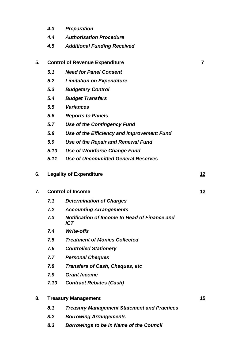- *4.3 Preparation*
- *4.4 Authorisation Procedure*
- *4.5 Additional Funding Received*

| 5. | <b>Control of Revenue Expenditure</b> |                                                             |            |
|----|---------------------------------------|-------------------------------------------------------------|------------|
|    | 5.1                                   | <b>Need for Panel Consent</b>                               |            |
|    | 5.2                                   | <b>Limitation on Expenditure</b>                            |            |
|    | 5.3                                   | <b>Budgetary Control</b>                                    |            |
|    | 5.4                                   | <b>Budget Transfers</b>                                     |            |
|    | 5.5                                   | <b>Variances</b>                                            |            |
|    | 5.6                                   | <b>Reports to Panels</b>                                    |            |
|    | 5.7                                   | <b>Use of the Contingency Fund</b>                          |            |
|    | 5.8                                   | Use of the Efficiency and Improvement Fund                  |            |
|    | 5.9                                   | Use of the Repair and Renewal Fund                          |            |
|    | 5.10                                  | Use of Workforce Change Fund                                |            |
|    | 5.11                                  | <b>Use of Uncommitted General Reserves</b>                  |            |
| 6. |                                       | <b>Legality of Expenditure</b>                              | 12         |
| 7. | <b>Control of Income</b>              |                                                             | <u> 12</u> |
|    | 7.1                                   | <b>Determination of Charges</b>                             |            |
|    | 7.2                                   | <b>Accounting Arrangements</b>                              |            |
|    | 7.3                                   | <b>Notification of Income to Head of Finance and</b><br>ICT |            |
|    | 7.4                                   | <b>Write-offs</b>                                           |            |
|    | 7.5                                   | <b>Treatment of Monies Collected</b>                        |            |
|    | 7.6                                   | <b>Controlled Stationery</b>                                |            |
|    | 7.7                                   | <b>Personal Cheques</b>                                     |            |
|    | 7.8                                   | <b>Transfers of Cash, Cheques, etc</b>                      |            |
|    | 7.9                                   | <b>Grant Income</b>                                         |            |
|    | 7.10                                  | <b>Contract Rebates (Cash)</b>                              |            |
| 8. | <b>Treasury Management</b>            |                                                             |            |
|    | 8.1                                   | <b>Treasury Management Statement and Practices</b>          |            |
|    | 8.2                                   | <b>Borrowing Arrangements</b>                               |            |

*8.3 Borrowings to be in Name of the Council*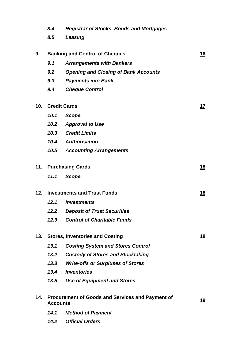|     | 8.4                                                                        | <b>Registrar of Stocks, Bonds and Mortgages</b> |            |
|-----|----------------------------------------------------------------------------|-------------------------------------------------|------------|
|     | 8.5                                                                        | Leasing                                         |            |
|     |                                                                            |                                                 |            |
| 9.  | <b>Banking and Control of Cheques</b>                                      |                                                 | 16         |
|     | 9.1                                                                        | <b>Arrangements with Bankers</b>                |            |
|     | 9.2                                                                        | <b>Opening and Closing of Bank Accounts</b>     |            |
|     | 9.3                                                                        | <b>Payments into Bank</b>                       |            |
|     | 9.4                                                                        | <b>Cheque Control</b>                           |            |
| 10. | <b>Credit Cards</b>                                                        |                                                 | <u> 17</u> |
|     | 10.1                                                                       | <b>Scope</b>                                    |            |
|     | 10.2                                                                       | <b>Approval to Use</b>                          |            |
|     |                                                                            | 10.3 Credit Limits                              |            |
|     |                                                                            | 10.4 Authorisation                              |            |
|     |                                                                            | <b>10.5 Accounting Arrangements</b>             |            |
| 11. | <b>Purchasing Cards</b>                                                    |                                                 | <u> 18</u> |
|     | 11.1                                                                       | <b>Scope</b>                                    |            |
| 12. | <b>Investments and Trust Funds</b>                                         |                                                 | <u> 18</u> |
|     | 12.1                                                                       | <i><b>Investments</b></i>                       |            |
|     | 12.2                                                                       | <b>Deposit of Trust Securities</b>              |            |
|     | 12.3                                                                       | <b>Control of Charitable Funds</b>              |            |
| 13. | <b>Stores, Inventories and Costing</b>                                     |                                                 | <u> 18</u> |
|     | 13.1                                                                       | <b>Costing System and Stores Control</b>        |            |
|     | 13.2                                                                       | <b>Custody of Stores and Stocktaking</b>        |            |
|     | 13.3                                                                       | <b>Write-offs or Surpluses of Stores</b>        |            |
|     | 13.4                                                                       | <b>Inventories</b>                              |            |
|     | 13.5                                                                       | <b>Use of Equipment and Stores</b>              |            |
| 14. | <b>Procurement of Goods and Services and Payment of</b><br><b>Accounts</b> |                                                 | 19         |
|     | 14.1                                                                       | <b>Method of Payment</b>                        |            |
|     | 14.2                                                                       | <b>Official Orders</b>                          |            |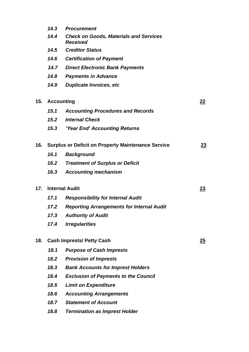|     |                                                           | 14.3 Procurement                                                 |           |
|-----|-----------------------------------------------------------|------------------------------------------------------------------|-----------|
|     | 14.4                                                      | <b>Check on Goods, Materials and Services</b><br><b>Received</b> |           |
|     | 14.5                                                      | <b>Creditor Status</b>                                           |           |
|     | 14.6                                                      | <b>Certification of Payment</b>                                  |           |
|     |                                                           | <b>14.7 Direct Electronic Bank Payments</b>                      |           |
|     | 14.8                                                      | <b>Payments in Advance</b>                                       |           |
|     | 14.9                                                      | <b>Duplicate Invoices, etc</b>                                   |           |
| 15. | <b>Accounting</b>                                         |                                                                  | 22        |
|     | 15.1                                                      | <b>Accounting Procedures and Records</b>                         |           |
|     | 15.2                                                      | <b>Internal Check</b>                                            |           |
|     |                                                           | <b>15.3 Year End' Accounting Returns</b>                         |           |
| 16. | <b>Surplus or Deficit on Property Maintenance Service</b> |                                                                  | <u>23</u> |
|     | 16.1                                                      | <b>Background</b>                                                |           |
|     | 16.2                                                      | <b>Treatment of Surplus or Deficit</b>                           |           |
|     | 16.3                                                      | <b>Accounting mechanism</b>                                      |           |
| 17. | <b>Internal Audit</b>                                     |                                                                  | 23        |
|     | 17.1                                                      | <b>Responsibility for Internal Audit</b>                         |           |
|     | 17.2                                                      | <b>Reporting Arrangements for Internal Audit</b>                 |           |
|     | 17.3                                                      | <b>Authority of Audit</b>                                        |           |
|     | 17.4                                                      | <b>Irregularities</b>                                            |           |
| 18. | <b>Cash Imprests/ Petty Cash</b>                          |                                                                  | 25        |
|     | 18.1                                                      | <b>Purpose of Cash Imprests</b>                                  |           |
|     | 18.2                                                      | <b>Provision of Imprests</b>                                     |           |
|     | 18.3                                                      | <b>Bank Accounts for Imprest Holders</b>                         |           |
|     | 18.4                                                      | <b>Exclusion of Payments to the Council</b>                      |           |
|     | 18.5                                                      | <b>Limit on Expenditure</b>                                      |           |
|     | 18.6                                                      | <b>Accounting Arrangements</b>                                   |           |
|     | 18.7                                                      | <b>Statement of Account</b>                                      |           |
|     | 18.8                                                      | <b>Termination as Imprest Holder</b>                             |           |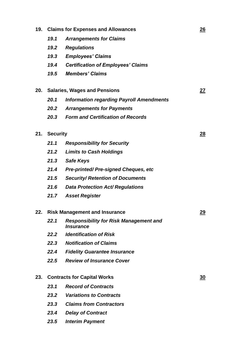| 19. | <b>Claims for Expenses and Allowances</b> |                                                                          |           |
|-----|-------------------------------------------|--------------------------------------------------------------------------|-----------|
|     | 19.1                                      | <b>Arrangements for Claims</b>                                           |           |
|     | 19.2                                      | <b>Regulations</b>                                                       |           |
|     | 19.3                                      | <b>Employees' Claims</b>                                                 |           |
|     | 19.4                                      | <b>Certification of Employees' Claims</b>                                |           |
|     | 19.5                                      | <b>Members' Claims</b>                                                   |           |
| 20. | <b>Salaries, Wages and Pensions</b>       |                                                                          | 27        |
|     | 20.1                                      | <b>Information regarding Payroll Amendments</b>                          |           |
|     | 20.2                                      | <b>Arrangements for Payments</b>                                         |           |
|     | 20.3                                      | <b>Form and Certification of Records</b>                                 |           |
| 21. | <b>Security</b>                           |                                                                          | 28        |
|     | 21.1                                      | <b>Responsibility for Security</b>                                       |           |
|     | 21.2                                      | <b>Limits to Cash Holdings</b>                                           |           |
|     | 21.3                                      | <b>Safe Keys</b>                                                         |           |
|     | 21.4                                      | <b>Pre-printed/Pre-signed Cheques, etc</b>                               |           |
|     | 21.5                                      | <b>Security/ Retention of Documents</b>                                  |           |
|     | 21.6                                      | <b>Data Protection Act/ Regulations</b>                                  |           |
|     | 21.7                                      | <b>Asset Register</b>                                                    |           |
| 22. | <b>Risk Management and Insurance</b>      |                                                                          | <u>29</u> |
|     | 22.1                                      | <b>Responsibility for Risk Management and</b><br><i><b>Insurance</b></i> |           |
|     | 22.2                                      | <b>Identification of Risk</b>                                            |           |
|     | 22.3                                      | <b>Notification of Claims</b>                                            |           |
|     | 22.4                                      | <b>Fidelity Guarantee Insurance</b>                                      |           |
|     | 22.5                                      | <b>Review of Insurance Cover</b>                                         |           |
| 23. | <b>Contracts for Capital Works</b>        |                                                                          | <u>30</u> |
|     | 23.1                                      | <b>Record of Contracts</b>                                               |           |
|     | 23.2                                      | <b>Variations to Contracts</b>                                           |           |
|     | 23.3                                      | <b>Claims from Contractors</b>                                           |           |
|     | 23.4                                      | <b>Delay of Contract</b>                                                 |           |
|     | 23.5                                      | <b>Interim Payment</b>                                                   |           |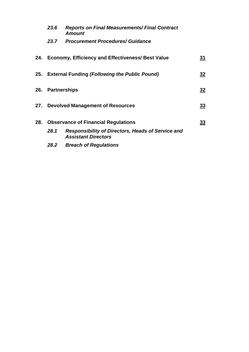| 23.6                                    | <b>Reports on Final Measurements/ Final Contract</b><br><b>Amount</b>                  |           |
|-----------------------------------------|----------------------------------------------------------------------------------------|-----------|
| 23.7                                    | <b>Procurement Procedures/ Guidance</b>                                                |           |
|                                         | 24. Economy, Efficiency and Effectiveness/ Best Value                                  | <u>31</u> |
|                                         | 25. External Funding (Following the Public Pound)                                      | <u>32</u> |
| 26. Partnerships                        |                                                                                        | <u>32</u> |
| 27. Devolved Management of Resources    |                                                                                        | <u>33</u> |
| 28. Observance of Financial Regulations |                                                                                        | <u>33</u> |
| 28.1                                    | <b>Responsibility of Directors, Heads of Service and</b><br><b>Assistant Directors</b> |           |
| 28.2                                    | <b>Breach of Regulations</b>                                                           |           |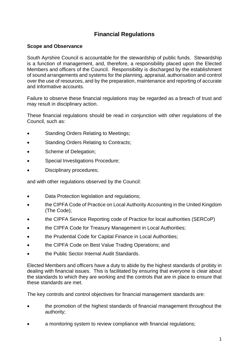# **Financial Regulations**

# <span id="page-9-0"></span>**Scope and Observance**

South Ayrshire Council is accountable for the stewardship of public funds. Stewardship is a function of management, and, therefore, a responsibility placed upon the Elected Members and officers of the Council. Responsibility is discharged by the establishment of sound arrangements and systems for the planning, appraisal, authorisation and control over the use of resources, and by the preparation, maintenance and reporting of accurate and informative accounts.

Failure to observe these financial regulations may be regarded as a breach of trust and may result in disciplinary action.

These financial regulations should be read in conjunction with other regulations of the Council, such as:

- Standing Orders Relating to Meetings;
- Standing Orders Relating to Contracts;
- Scheme of Delegation;
- Special Investigations Procedure;
- Disciplinary procedures;

and with other regulations observed by the Council:

- Data Protection legislation and regulations;
- the CIPFA Code of Practice on Local Authority Accounting in the United Kingdom (The Code);
- the CIPFA Service Reporting code of Practice for local authorities (SERCoP)
- the CIPFA Code for Treasury Management in Local Authorities;
- the Prudential Code for Capital Finance in Local Authorities;
- the CIPFA Code on Best Value Trading Operations; and
- the Public Sector Internal Audit Standards.

Elected Members and officers have a duty to abide by the highest standards of probity in dealing with financial issues. This is facilitated by ensuring that everyone is clear about the standards to which they are working and the controls that are in place to ensure that these standards are met.

The key controls and control objectives for financial management standards are:

- the promotion of the highest standards of financial management throughout the authority;
- a monitoring system to review compliance with financial regulations;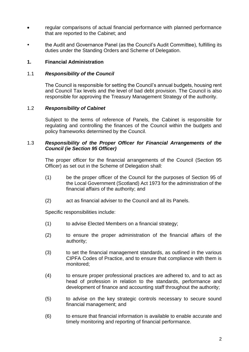- regular comparisons of actual financial performance with planned performance that are reported to the Cabinet; and
- the Audit and Governance Panel (as the Council's Audit Committee), fulfilling its duties under the Standing Orders and Scheme of Delegation.

# <span id="page-10-0"></span>**1. Financial Administration**

# 1.1 *Responsibility of the Council*

The Council is responsible for setting the Council's annual budgets, housing rent and Council Tax levels and the level of bad debt provision. The Council is also responsible for approving the Treasury Management Strategy of the authority.

# 1.2 *Responsibility of Cabinet*

Subject to the terms of reference of Panels, the Cabinet is responsible for regulating and controlling the finances of the Council within the budgets and policy frameworks determined by the Council.

# 1.3 *Responsibility of the Proper Officer for Financial Arrangements of the Council (ie Section 95 Officer)*

The proper officer for the financial arrangements of the Council (Section 95 Officer) as set out in the Scheme of Delegation shall:

- (1) be the proper officer of the Council for the purposes of Section 95 of the Local Government (Scotland) Act 1973 for the administration of the financial affairs of the authority; and
- (2) act as financial adviser to the Council and all its Panels.

Specific responsibilities include:

- (1) to advise Elected Members on a financial strategy;
- (2) to ensure the proper administration of the financial affairs of the authority;
- (3) to set the financial management standards, as outlined in the various CIPFA Codes of Practice, and to ensure that compliance with them is monitored;
- (4) to ensure proper professional practices are adhered to, and to act as head of profession in relation to the standards, performance and development of finance and accounting staff throughout the authority;
- (5) to advise on the key strategic controls necessary to secure sound financial management; and
- (6) to ensure that financial information is available to enable accurate and timely monitoring and reporting of financial performance.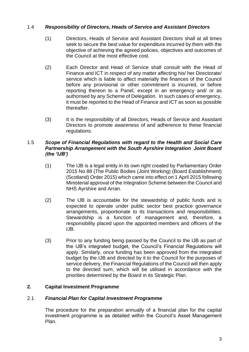# 1.4 *Responsibility of Directors, Heads of Service and Assistant Directors*

- (1) Directors, Heads of Service and Assistant Directors shall at all times seek to secure the best value for expenditure incurred by them with the objective of achieving the agreed policies, objectives and outcomes of the Council at the most effective cost.
- (2) Each Director and Head of Service shall consult with the Head of Finance and ICT in respect of any matter affecting his/ her Directorate/ service which is liable to affect materially the finances of the Council before any provisional or other commitment is incurred, or before reporting thereon to a Panel, except in an emergency and/ or as authorised by any Scheme of Delegation. In such cases of emergency, it must be reported to the Head of Finance and ICT as soon as possible thereafter.
- (3) It is the responsibility of all Directors, Heads of Service and Assistant Directors to promote awareness of and adherence to these financial regulations.

# 1.5 *Scope of Financial Regulations with regard to the Health and Social Care Partnership Arrangement with the South Ayrshire Integration Joint Board (the 'IJB')*

- (1) The IJB is a legal entity in its own right created by Parliamentary Order 2015 No 88 (The Public Bodies (Joint Working) (Board Establishment) (Scotland) Order 2015) which came into effect on 1 April 2015 following Ministerial approval of the Integration Scheme between the Council and NHS Ayrshire and Arran.
- (2) The IJB is accountable for the stewardship of public funds and is expected to operate under public sector best practice governance arrangements, proportionate to its transactions and responsibilities. Stewardship is a function of management and, therefore, a responsibility placed upon the appointed members and officers of the IJB.
- (3) Prior to any funding being passed by the Council to the IJB as part of the IJB's integrated budget, the Council's Financial Regulations will apply. Similarly, once funding has been approved from the integrated budget by the IJB and directed by it to the Council for the purposes of service delivery, the Financial Regulations of the Council will then apply to the directed sum, which will be utilised in accordance with the priorities determined by the Board in its Strategic Plan.

# <span id="page-11-0"></span>**2. Capital Investment Programme**

# 2.1 *Financial Plan for Capital Investment Programme*

The procedure for the preparation annually of a financial plan for the capital investment programme is as detailed within the Council's Asset Management Plan.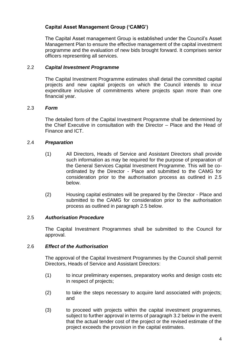# **Capital Asset Management Group ('CAMG')**

The Capital Asset management Group is established under the Council's Asset Management Plan to ensure the effective management of the capital investment programme and the evaluation of new bids brought forward. It comprises senior officers representing all services.

# 2.2 *Capital Investment Programme*

The Capital Investment Programme estimates shall detail the committed capital projects and new capital projects on which the Council intends to incur expenditure inclusive of commitments where projects span more than one financial year.

# 2.3 *Form*

The detailed form of the Capital Investment Programme shall be determined by the Chief Executive in consultation with the Director – Place and the Head of Finance and ICT.

# 2.4 *Preparation*

- (1) All Directors, Heads of Service and Assistant Directors shall provide such information as may be required for the purpose of preparation of the General Services Capital Investment Programme. This will be coordinated by the Director - Place and submitted to the CAMG for consideration prior to the authorisation process as outlined in 2.5 below.
- (2) Housing capital estimates will be prepared by the Director Place and submitted to the CAMG for consideration prior to the authorisation process as outlined in paragraph 2.5 below.

# 2.5 *Authorisation Procedure*

The Capital Investment Programmes shall be submitted to the Council for approval.

# 2.6 *Effect of the Authorisation*

The approval of the Capital Investment Programmes by the Council shall permit Directors, Heads of Service and Assistant Directors:

- (1) to incur preliminary expenses, preparatory works and design costs etc in respect of projects;
- (2) to take the steps necessary to acquire land associated with projects; and
- (3) to proceed with projects within the capital investment programmes, subject to further approval in terms of paragraph 3.2 below in the event that the actual tender cost of the project or the revised estimate of the project exceeds the provision in the capital estimates.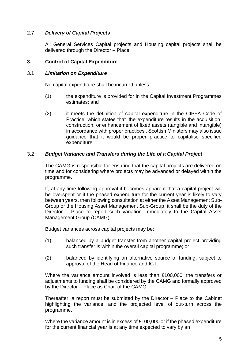# 2.7 *Delivery of Capital Projects*

All General Services Capital projects and Housing capital projects shall be delivered through the Director – Place.

# <span id="page-13-0"></span>**3. Control of Capital Expenditure**

# 3.1 *Limitation on Expenditure*

No capital expenditure shall be incurred unless:

- (1) the expenditure is provided for in the Capital Investment Programmes estimates; and
- (2) it meets the definition of capital expenditure in the CIPFA Code of Practice, which states that 'the expenditure results in the acquisition, construction, or enhancement of fixed assets (tangible and intangible) in accordance with proper practices'. Scottish Ministers may also issue guidance that it would be proper practice to capitalise specified expenditure.

# 3.2 *Budget Variance and Transfers during the Life of a Capital Project*

The CAMG is responsible for ensuring that the capital projects are delivered on time and for considering where projects may be advanced or delayed within the programme.

If, at any time following approval it becomes apparent that a capital project will be overspent or if the phased expenditure for the current year is likely to vary between years, then following consultation at either the Asset Management Sub-Group or the Housing Asset Management Sub-Group, it shall be the duty of the Director – Place to report such variation immediately to the Capital Asset Management Group (CAMG).

Budget variances across capital projects may be:

- (1) balanced by a budget transfer from another capital project providing such transfer is within the overall capital programme; or
- (2) balanced by identifying an alternative source of funding, subject to approval of the Head of Finance and ICT.

Where the variance amount involved is less than £100,000, the transfers or adjustments to funding shall be considered by the CAMG and formally approved by the Director – Place as Chair of the CAMG.

Thereafter, a report must be submitted by the Director – Place to the Cabinet highlighting the variance, and the projected level of out-turn across the programme.

Where the variance amount is in excess of £100,000 or if the phased expenditure for the current financial year is at any time expected to vary by an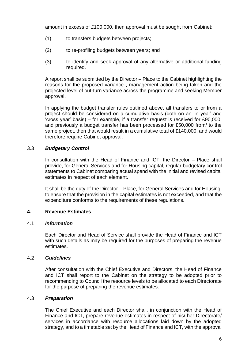amount in excess of £100,000, then approval must be sought from Cabinet:

- (1) to transfers budgets between projects;
- (2) to re-profiling budgets between years; and
- (3) to identify and seek approval of any alternative or additional funding required.

A report shall be submitted by the Director – Place to the Cabinet highlighting the reasons for the proposed variance , management action being taken and the projected level of out-turn variance across the programme and seeking Member approval.

In applying the budget transfer rules outlined above, all transfers to or from a project should be considered on a cumulative basis (both on an 'in year' and 'cross year' basis) – for example, if a transfer request is received for £90,000, and previously a budget transfer has been processed for £50,000 from/ to the same project, then that would result in a cumulative total of £140,000, and would therefore require Cabinet approval.

# 3.3 *Budgetary Control*

In consultation with the Head of Finance and ICT, the Director – Place shall provide, for General Services and for Housing capital, regular budgetary control statements to Cabinet comparing actual spend with the initial and revised capital estimates in respect of each element.

It shall be the duty of the Director – Place, for General Services and for Housing, to ensure that the provision in the capital estimates is not exceeded, and that the expenditure conforms to the requirements of these regulations.

# <span id="page-14-0"></span>**4. Revenue Estimates**

# 4.1 *Information*

Each Director and Head of Service shall provide the Head of Finance and ICT with such details as may be required for the purposes of preparing the revenue estimates.

# 4.2 *Guidelines*

After consultation with the Chief Executive and Directors, the Head of Finance and ICT shall report to the Cabinet on the strategy to be adopted prior to recommending to Council the resource levels to be allocated to each Directorate for the purpose of preparing the revenue estimates.

# 4.3 *Preparation*

The Chief Executive and each Director shall, in conjunction with the Head of Finance and ICT, prepare revenue estimates in respect of his/ her Directorate/ services in accordance with resource allocations laid down by the adopted strategy, and to a timetable set by the Head of Finance and ICT, with the approval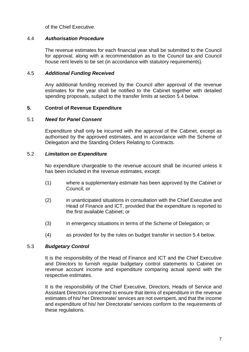of the Chief Executive.

#### 4.4 *Authorisation Procedure*

The revenue estimates for each financial year shall be submitted to the Council for approval, along with a recommendation as to the Council tax and Council house rent levels to be set (in accordance with statutory requirements).

#### 4.5 *Additional Funding Received*

Any additional funding received by the Council after approval of the revenue estimates for the year shall be notified to the Cabinet together with detailed spending proposals, subject to the transfer limits at section 5.4 below.

#### <span id="page-15-0"></span>**5. Control of Revenue Expenditure**

#### 5.1 *Need for Panel Consent*

Expenditure shall only be incurred with the approval of the Cabinet, except as authorised by the approved estimates, and in accordance with the Scheme of Delegation and the Standing Orders Relating to Contracts.

#### 5.2 *Limitation on Expenditure*

No expenditure chargeable to the revenue account shall be incurred unless it has been included in the revenue estimates, except:

- (1) where a supplementary estimate has been approved by the Cabinet or Council; or
- (2) in unanticipated situations in consultation with the Chief Executive and Head of Finance and ICT, provided that the expenditure is reported to the first available Cabinet; or
- (3) in emergency situations in terms of the Scheme of Delegation; or
- (4) as provided for by the rules on budget transfer in section 5.4 below.

# 5.3 *Budgetary Control*

It is the responsibility of the Head of Finance and ICT and the Chief Executive and Directors to furnish regular budgetary control statements to Cabinet on revenue account income and expenditure comparing actual spend with the respective estimates.

It is the responsibility of the Chief Executive, Directors, Heads of Service and Assistant Directors concerned to ensure that items of expenditure in the revenue estimates of his/ her Directorate/ services are not overspent, and that the income and expenditure of his/ her Directorate/ services conform to the requirements of these regulations.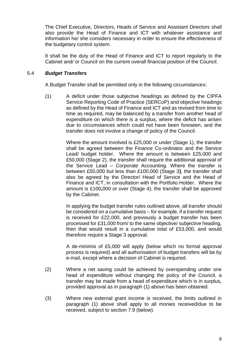The Chief Executive, Directors, Heads of Service and Assistant Directors shall also provide the Head of Finance and ICT with whatever assistance and information he/ she considers necessary in order to ensure the effectiveness of the budgetary control system.

It shall be the duty of the Head of Finance and ICT to report regularly to the Cabinet and/ or Council on the current overall financial position of the Council.

# 5.4 *Budget Transfers*

A Budget Transfer shall be permitted only in the following circumstances:

(1) A deficit under those subjective headings as defined by the CIPFA Service Reporting Code of Practice (SERCoP) and objective headings as defined by the Head of Finance and ICT and as revised from time to time as required, may be balanced by a transfer from another head of expenditure on which there is a surplus, where the deficit has arisen due to circumstances which could not have been foreseen, and the transfer does not involve a change of policy of the Council.

> Where the amount involved is £25,000 or under (Stage 1), the transfer shall be agreed between the Finance Co-ordinator and the Service Lead/ budget holder. Where the amount is between £25,000 and £50,000 (Stage 2), the transfer shall require the additional approval of the Service Lead – Corporate Accounting. Where the transfer is between £50,000 but less than £100,000 (Stage 3**)**, the transfer shall also be agreed by the Director/ Head of Service and the Head of Finance and ICT, in consultation with the Portfolio Holder. Where the amount is £100**,**000 or over (Stage 4), the transfer shall be approved by the Cabinet.

> In applying the budget transfer rules outlined above, all transfer should be considered on a cumulative basis – for example, if a transfer request is received for £22,000, and previously a budget transfer has been processed for £31,000 from/ to the same objective/ subjective heading, then that would result in a cumulative total of £53,000, and would therefore require a Stage 3 approval.

> A de-minimis of £5,000 will apply (below which no formal approval process is required) and all authorisation of budget transfers will be by e-mail, except where a decision of Cabinet is required.

- (2) Where a net saving could be achieved by overspending under one head of expenditure without changing the policy of the Council, a transfer may be made from a head of expenditure which is in surplus, provided approval as in paragraph (1) above has been obtained.
- (3) Where new external grant income is received, the limits outlined in paragraph (1) above shall apply to all monies received/due to be received, subject to section 7.9 (below).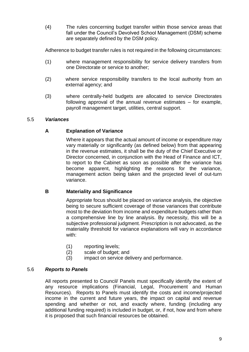(4) The rules concerning budget transfer within those service areas that fall under the Council's Devolved School Management (DSM) scheme are separately defined by the DSM policy.

Adherence to budget transfer rules is not required in the following circumstances:

- (1) where management responsibility for service delivery transfers from one Directorate or service to another;
- (2) where service responsibility transfers to the local authority from an external agency; and
- (3) where centrally-held budgets are allocated to service Directorates following approval of the annual revenue estimates – for example, payroll management target, utilities, central support.

# 5.5 *Variances*

# **A Explanation of Variance**

Where it appears that the actual amount of income or expenditure may vary materially or significantly (as defined below) from that appearing in the revenue estimates, it shall be the duty of the Chief Executive or Director concerned, in conjunction with the Head of Finance and ICT, to report to the Cabinet as soon as possible after the variance has become apparent, highlighting the reasons for the variance, management action being taken and the projected level of out-turn variance.

# **B Materiality and Significance**

Appropriate focus should be placed on variance analysis, the objective being to secure sufficient coverage of those variances that contribute most to the deviation from income and expenditure budgets rather than a comprehensive line by line analysis. By necessity, this will be a subjective professional judgment. Prescription is not advocated, as the materiality threshold for variance explanations will vary in accordance with:

- (1) reporting levels;
- (2) scale of budget; and
- (3) impact on service delivery and performance.

# 5.6 *Reports to Panels*

All reports presented to Council/ Panels must specifically identify the extent of any resource implications (Financial, Legal, Procurement and Human Resources). Reports to Panels must identify the costs and income/projected income in the current and future years, the impact on capital and revenue spending and whether or not, and exactly where, funding (including any additional funding required) is included in budget, or, if not, how and from where it is proposed that such financial resources be obtained.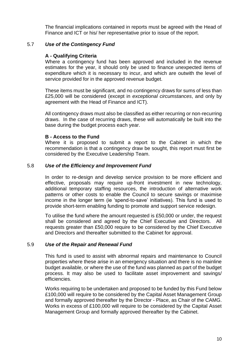The financial implications contained in reports must be agreed with the Head of Finance and ICT or his/ her representative prior to issue of the report.

# 5.7 *Use of the Contingency Fund*

# **A - Qualifying Criteria**

Where a contingency fund has been approved and included in the revenue estimates for the year, it should only be used to finance unexpected items of expenditure which it is necessary to incur, and which are outwith the level of service provided for in the approved revenue budget.

These items must be significant, and no contingency draws for sums of less than £25,000 will be considered (except in *exceptional circumstances*, and only by agreement with the Head of Finance and ICT).

All contingency draws must also be classified as either recurring or non-recurring draws. In the case of recurring draws, these will automatically be built into the base during the budget process each year.

#### **B - Access to the Fund**

Where it is proposed to submit a report to the Cabinet in which the recommendation is that a contingency draw be sought, this report must first be considered by the Executive Leadership Team.

# 5.8 *Use of the Efficiency and Improvement Fund*

In order to re-design and develop service provision to be more efficient and effective, proposals may require up-front investment in new technology, additional temporary staffing resources, the introduction of alternative work patterns or other costs to enable the Council to secure savings or maximise income in the longer term (ie 'spend-to-save' initiatives). This fund is used to provide short-term enabling funding to promote and support service redesign.

To utilise the fund where the amount requested is £50,000 or under, the request shall be considered and agreed by the Chief Executive and Directors. All requests greater than £50,000 require to be considered by the Chief Executive and Directors and thereafter submitted to the Cabinet for approval.

# 5.9 *Use of the Repair and Renewal Fund*

This fund is used to assist with abnormal repairs and maintenance to Council properties where these arise in an emergency situation and there is no mainline budget available, or where the use of the fund was planned as part of the budget process. It may also be used to facilitate asset improvement and savings/ efficiencies.

Works requiring to be undertaken and proposed to be funded by this Fund below £100,000 will require to be considered by the Capital Asset Management Group and formally approved thereafter by the Director - Place, as Chair of the CAMG. Works in excess of £100,000 will require to be considered by the Capital Asset Management Group and formally approved thereafter by the Cabinet.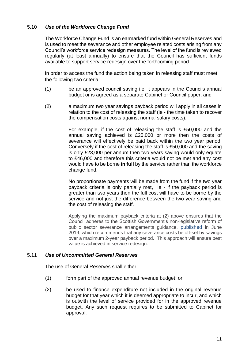# 5.10 *Use of the Workforce Change Fund*

The Workforce Change Fund is an earmarked fund within General Reserves and is used to meet the severance and other employee related costs arising from any Council's workforce service redesign measures. The level of the fund is reviewed regularly (at least annually) to ensure that the Council has sufficient funds available to support service redesign over the forthcoming period.

In order to access the fund the action being taken in releasing staff must meet the following two criteria:

- (1) be an approved council saving i.e. it appears in the Councils annual budget or is agreed as a separate Cabinet or Council paper; and
- (2) a maximum two year savings payback period will apply in all cases in relation to the cost of releasing the staff (ie - the time taken to recover the compensation costs against normal salary costs).

For example, if the cost of releasing the staff is £50,000 and the annual saving achieved is £25,000 or more then the costs of severance will effectively be paid back within the two year period. Conversely if the cost of releasing the staff is £50,000 and the saving is only £23,000 per annum then two years saving would only equate to £46,000 and therefore this criteria would not be met and any cost would have to be borne **in full** by the service rather than the workforce change fund.

No proportionate payments will be made from the fund if the two year payback criteria is only partially met, ie - if the payback period is greater than two years then the full cost will have to be borne by the service and not just the difference between the two year saving and the cost of releasing the staff.

Applying the maximum payback criteria at (2) above ensures that the Council adheres to the Scottish Government's non-legislative reform of public sector severance arrangements guidance, published in June 2019, which recommends that any severance costs be off-set by savings over a maximum 2-year payback period. This approach will ensure best value is achieved in service redesign.

# 5.11 *Use of Uncommitted General Reserves*

The use of General Reserves shall either:

- (1) form part of the approved annual revenue budget; or
- (2) be used to finance expenditure not included in the original revenue budget for that year which it is deemed appropriate to incur, and which is outwith the level of service provided for in the approved revenue budget. Any such request requires to be submitted to Cabinet for approval.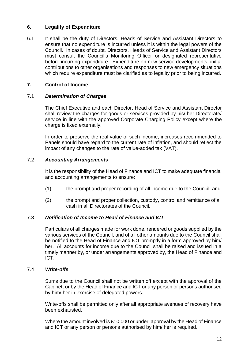# <span id="page-20-0"></span>**6. Legality of Expenditure**

6.1 It shall be the duty of Directors, Heads of Service and Assistant Directors to ensure that no expenditure is incurred unless it is within the legal powers of the Council. In cases of doubt, Directors, Heads of Service and Assistant Directors must consult the Council's Monitoring Officer or designated representative before incurring expenditure. Expenditure on new service developments, initial contributions to other organisations and responses to new emergency situations which require expenditure must be clarified as to legality prior to being incurred.

# <span id="page-20-1"></span>**7. Control of Income**

# 7.1 *Determination of Charges*

The Chief Executive and each Director, Head of Service and Assistant Director shall review the charges for goods or services provided by his/ her Directorate/ service in line with the approved Corporate Charging Policy except where the charge is fixed externally.

In order to preserve the real value of such income, increases recommended to Panels should have regard to the current rate of inflation, and should reflect the impact of any changes to the rate of value-added tax (VAT).

# 7.2 *Accounting Arrangements*

It is the responsibility of the Head of Finance and ICT to make adequate financial and accounting arrangements to ensure:

- (1) the prompt and proper recording of all income due to the Council; and
- (2) the prompt and proper collection, custody, control and remittance of all cash in all Directorates of the Council.

# 7.3 *Notification of Income to Head of Finance and ICT*

Particulars of all charges made for work done, rendered or goods supplied by the various services of the Council, and of all other amounts due to the Council shall be notified to the Head of Finance and ICT promptly in a form approved by him/ her. All accounts for income due to the Council shall be raised and issued in a timely manner by, or under arrangements approved by, the Head of Finance and ICT.

# 7.4 *Write-offs*

Sums due to the Council shall not be written off except with the approval of the Cabinet, or by the Head of Finance and ICT or any person or persons authorised by him/ her in exercise of delegated powers.

Write-offs shall be permitted only after all appropriate avenues of recovery have been exhausted.

Where the amount involved is £10,000 or under, approval by the Head of Finance and ICT or any person or persons authorised by him/ her is required.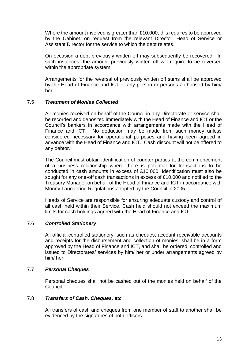Where the amount involved is greater than £10,000, this requires to be approved by the Cabinet, on request from the relevant Director, Head of Service or Assistant Director for the service to which the debt relates.

On occasion a debt previously written off may subsequently be recovered. In such instances, the amount previously written off will require to be reversed within the appropriate system.

Arrangements for the reversal of previously written off sums shall be approved by the Head of Finance and ICT or any person or persons authorised by him/ her.

# 7.5 *Treatment of Monies Collected*

All monies received on behalf of the Council in any Directorate or service shall be recorded and deposited immediately with the Head of Finance and ICT or the Council's bankers in accordance with arrangements made with the Head of Finance and ICT. No deduction may be made from such money unless considered necessary for operational purposes and having been agreed in advance with the Head of Finance and ICT. Cash discount will not be offered to any debtor.

The Council must obtain identification of counter-parties at the commencement of a business relationship where there is potential for transactions to be conducted in cash amounts in excess of £10,000. Identification must also be sought for any one-off cash transactions in excess of £10,000 and notified to the Treasury Manager on behalf of the Head of Finance and ICT in accordance with Money Laundering Regulations adopted by the Council in 2005.

Heads of Service are responsible for ensuring adequate custody and control of all cash held within their Service. Cash held should not exceed the maximum limits for cash holdings agreed with the Head of Finance and ICT.

# 7.6 *Controlled Stationery*

All official controlled stationery, such as cheques, account receivable accounts and receipts for the disbursement and collection of monies, shall be in a form approved by the Head of Finance and ICT, and shall be ordered, controlled and issued to Directorates/ services by him/ her or under arrangements agreed by him/ her.

# 7.7 *Personal Cheques*

Personal cheques shall not be cashed out of the monies held on behalf of the Council.

# 7.8 *Transfers of Cash, Cheques, etc*

All transfers of cash and cheques from one member of staff to another shall be evidenced by the signatures of both officers.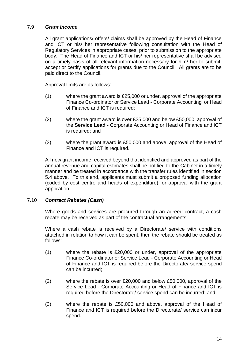# 7.9 *Grant Income*

All grant applications/ offers/ claims shall be approved by the Head of Finance and ICT or his/ her representative following consultation with the Head of Regulatory Services in appropriate cases, prior to submission to the appropriate body. The Head of Finance and ICT or his/ her representative shall be advised on a timely basis of all relevant information necessary for him/ her to submit, accept or certify applications for grants due to the Council. All grants are to be paid direct to the Council.

Approval limits are as follows:

- (1) where the grant award is £25,000 or under, approval of the appropriate Finance Co-ordinator or Service Lead - Corporate Accounting or Head of Finance and ICT is required;
- (2) where the grant award is over £25,000 and below £50,000, approval of the **Service Lead -** Corporate Accounting or Head of Finance and ICT is required; and
- (3) where the grant award is £50,000 and above, approval of the Head of Finance and ICT is required.

All new grant income received beyond that identified and approved as part of the annual revenue and capital estimates shall be notified to the Cabinet in a timely manner and be treated in accordance with the transfer rules identified in section 5.4 above. To this end, applicants must submit a proposed funding allocation (coded by cost centre and heads of expenditure) for approval with the grant application.

# 7.10 *Contract Rebates (Cash)*

Where goods and services are procured through an agreed contract, a cash rebate may be received as part of the contractual arrangements.

Where a cash rebate is received by a Directorate/ service with conditions attached in relation to how it can be spent, then the rebate should be treated as follows:

- (1) where the rebate is £20,000 or under, approval of the appropriate Finance Co-ordinator or Service Lead - Corporate Accounting or Head of Finance and ICT is required before the Directorate/ service spend can be incurred;
- (2) where the rebate is over £20,000 and below £50,000, approval of the Service Lead - Corporate Accounting or Head of Finance and ICT is required before the Directorate/ service spend can be incurred; and
- (3) where the rebate is £50,000 and above, approval of the Head of Finance and ICT is required before the Directorate/ service can incur spend.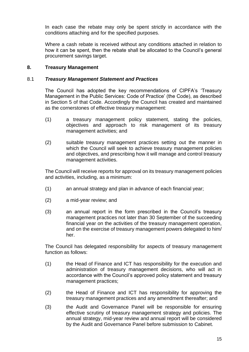In each case the rebate may only be spent strictly in accordance with the conditions attaching and for the specified purposes.

Where a cash rebate is received without any conditions attached in relation to how it can be spent, then the rebate shall be allocated to the Council's general procurement savings target.

# <span id="page-23-0"></span>**8. Treasury Management**

#### 8.1 *Treasury Management Statement and Practices*

The Council has adopted the key recommendations of CIPFA's 'Treasury Management in the Public Services: Code of Practice' (the Code), as described in Section 5 of that Code. Accordingly the Council has created and maintained as the cornerstones of effective treasury management:

- (1) a treasury management policy statement, stating the policies, objectives and approach to risk management of its treasury management activities; and
- (2) suitable treasury management practices setting out the manner in which the Council will seek to achieve treasury management policies and objectives, and prescribing how it will manage and control treasury management activities.

The Council will receive reports for approval on its treasury management policies and activities, including, as a minimum:

- (1) an annual strategy and plan in advance of each financial year;
- (2) a mid-year review; and
- (3) an annual report in the form prescribed in the Council's treasury management practices not later than 30 September of the succeeding financial year on the activities of the treasury management operation, and on the exercise of treasury management powers delegated to him/ her.

The Council has delegated responsibility for aspects of treasury management function as follows:

- (1) the Head of Finance and ICT has responsibility for the execution and administration of treasury management decisions, who will act in accordance with the Council's approved policy statement and treasury management practices;
- (2) the Head of Finance and ICT has responsibility for approving the treasury management practices and any amendment thereafter; and
- (3) the Audit and Governance Panel will be responsible for ensuring effective scrutiny of treasury management strategy and policies. The annual strategy, mid-year review and annual report will be considered by the Audit and Governance Panel before submission to Cabinet.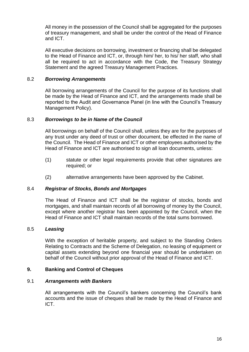All money in the possession of the Council shall be aggregated for the purposes of treasury management, and shall be under the control of the Head of Finance and ICT.

All executive decisions on borrowing, investment or financing shall be delegated to the Head of Finance and ICT, or, through him/ her, to his/ her staff, who shall all be required to act in accordance with the Code, the Treasury Strategy Statement and the agreed Treasury Management Practices.

# 8.2 *Borrowing Arrangements*

All borrowing arrangements of the Council for the purpose of its functions shall be made by the Head of Finance and ICT, and the arrangements made shall be reported to the Audit and Governance Panel (in line with the Council's Treasury Management Policy).

# 8.3 *Borrowings to be in Name of the Council*

All borrowings on behalf of the Council shall, unless they are for the purposes of any trust under any deed of trust or other document, be effected in the name of the Council. The Head of Finance and ICT or other employees authorised by the Head of Finance and ICT are authorised to sign all loan documents, unless:

- (1) statute or other legal requirements provide that other signatures are required; or
- (2) alternative arrangements have been approved by the Cabinet.

# 8.4 *Registrar of Stocks, Bonds and Mortgages*

The Head of Finance and ICT shall be the registrar of stocks, bonds and mortgages, and shall maintain records of all borrowing of money by the Council, except where another registrar has been appointed by the Council, when the Head of Finance and ICT shall maintain records of the total sums borrowed.

# 8.5 *Leasing*

With the exception of heritable property, and subject to the Standing Orders Relating to Contracts and the Scheme of Delegation, no leasing of equipment or capital assets extending beyond one financial year should be undertaken on behalf of the Council without prior approval of the Head of Finance and ICT.

# <span id="page-24-0"></span>**9. Banking and Control of Cheques**

# 9.1 *Arrangements with Bankers*

All arrangements with the Council's bankers concerning the Council's bank accounts and the issue of cheques shall be made by the Head of Finance and ICT.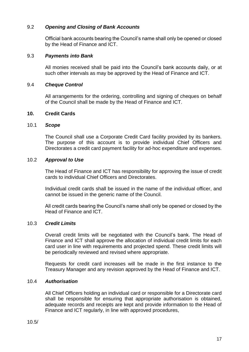# 9.2 *Opening and Closing of Bank Accounts*

Official bank accounts bearing the Council's name shall only be opened or closed by the Head of Finance and ICT.

#### 9.3 *Payments into Bank*

All monies received shall be paid into the Council's bank accounts daily, or at such other intervals as may be approved by the Head of Finance and ICT.

#### 9.4 *Cheque Control*

All arrangements for the ordering, controlling and signing of cheques on behalf of the Council shall be made by the Head of Finance and ICT.

#### <span id="page-25-0"></span>**10. Credit Cards**

#### 10.1 *Scope*

The Council shall use a Corporate Credit Card facility provided by its bankers. The purpose of this account is to provide individual Chief Officers and Directorates a credit card payment facility for ad-hoc expenditure and expenses.

#### 10.2 *Approval to Use*

The Head of Finance and ICT has responsibility for approving the issue of credit cards to individual Chief Officers and Directorates.

Individual credit cards shall be issued in the name of the individual officer, and cannot be issued in the generic name of the Council.

All credit cards bearing the Council's name shall only be opened or closed by the Head of Finance and ICT.

# 10.3 *Credit Limits*

Overall credit limits will be negotiated with the Council's bank. The Head of Finance and ICT shall approve the allocation of individual credit limits for each card user in line with requirements and projected spend. These credit limits will be periodically reviewed and revised where appropriate.

Requests for credit card increases will be made in the first instance to the Treasury Manager and any revision approved by the Head of Finance and ICT.

# 10.4 *Authorisation*

All Chief Officers holding an individual card or responsible for a Directorate card shall be responsible for ensuring that appropriate authorisation is obtained, adequate records and receipts are kept and provide information to the Head of Finance and ICT regularly, in line with approved procedures,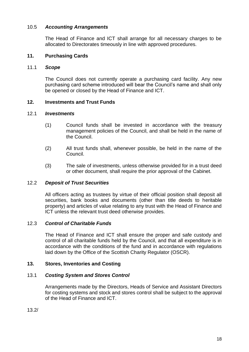# 10.5 *Accounting Arrangements*

The Head of Finance and ICT shall arrange for all necessary charges to be allocated to Directorates timeously in line with approved procedures.

# <span id="page-26-0"></span>**11. Purchasing Cards**

# 11.1 *Scope*

The Council does not currently operate a purchasing card facility. Any new purchasing card scheme introduced will bear the Council's name and shall only be opened or closed by the Head of Finance and ICT.

# <span id="page-26-1"></span>**12. Investments and Trust Funds**

#### 12.1 *Investments*

- (1) Council funds shall be invested in accordance with the treasury management policies of the Council, and shall be held in the name of the Council.
- (2) All trust funds shall, whenever possible, be held in the name of the Council.
- (3) The sale of investments, unless otherwise provided for in a trust deed or other document, shall require the prior approval of the Cabinet.

# 12.2 *Deposit of Trust Securities*

All officers acting as trustees by virtue of their official position shall deposit all securities, bank books and documents (other than title deeds to heritable property) and articles of value relating to any trust with the Head of Finance and ICT unless the relevant trust deed otherwise provides.

# 12.3 *Control of Charitable Funds*

The Head of Finance and ICT shall ensure the proper and safe custody and control of all charitable funds held by the Council, and that all expenditure is in accordance with the conditions of the fund and in accordance with regulations laid down by the Office of the Scottish Charity Regulator (OSCR).

# <span id="page-26-2"></span>**13. Stores, Inventories and Costing**

# 13.1 *Costing System and Stores Control*

Arrangements made by the Directors, Heads of Service and Assistant Directors for costing systems and stock and stores control shall be subject to the approval of the Head of Finance and ICT.

13.2/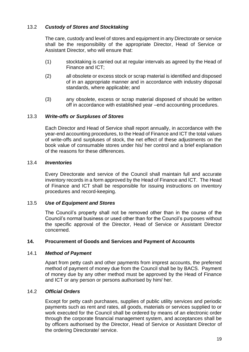# 13.2 *Custody of Stores and Stocktaking*

The care, custody and level of stores and equipment in any Directorate or service shall be the responsibility of the appropriate Director, Head of Service or Assistant Director, who will ensure that:

- (1) stocktaking is carried out at regular intervals as agreed by the Head of Finance and ICT;
- (2) all obsolete or excess stock or scrap material is identified and disposed of in an appropriate manner and in accordance with industry disposal standards, where applicable; and
- (3) any obsolete, excess or scrap material disposed of should be written off in accordance with established year –end accounting procedures.

# 13.3 *Write-offs or Surpluses of Stores*

Each Director and Head of Service shall report annually, in accordance with the year-end accounting procedures, to the Head of Finance and ICT the total values of write-offs and surpluses of stock, the net effect of these adjustments on the book value of consumable stores under his/ her control and a brief explanation of the reasons for these differences.

# 13.4 *Inventories*

Every Directorate and service of the Council shall maintain full and accurate inventory records in a form approved by the Head of Finance and ICT. The Head of Finance and ICT shall be responsible for issuing instructions on inventory procedures and record-keeping.

# 13.5 *Use of Equipment and Stores*

The Council's property shall not be removed other than in the course of the Council's normal business or used other than for the Council's purposes without the specific approval of the Director, Head of Service or Assistant Director concerned.

# <span id="page-27-0"></span>**14. Procurement of Goods and Services and Payment of Accounts**

# 14.1 *Method of Payment*

Apart from petty cash and other payments from imprest accounts, the preferred method of payment of money due from the Council shall be by BACS. Payment of money due by any other method must be approved by the Head of Finance and ICT or any person or persons authorised by him/ her.

# 14.2 *Official Orders*

Except for petty cash purchases, supplies of public utility services and periodic payments such as rent and rates, all goods, materials or services supplied to or work executed for the Council shall be ordered by means of an electronic order through the corporate financial management system, and acceptances shall be by officers authorised by the Director, Head of Service or Assistant Director of the ordering Directorate/ service.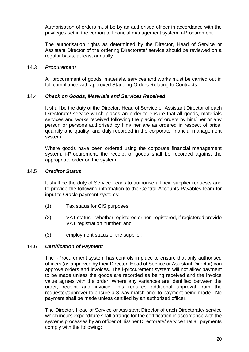Authorisation of orders must be by an authorised officer in accordance with the privileges set in the corporate financial management system, i-Procurement.

The authorisation rights as determined by the Director, Head of Service or Assistant Director of the ordering Directorate/ service should be reviewed on a regular basis, at least annually.

#### 14.3 *Procurement*

All procurement of goods, materials, services and works must be carried out in full compliance with approved Standing Orders Relating to Contracts.

# 14.4 *Check on Goods, Materials and Services Received*

It shall be the duty of the Director, Head of Service or Assistant Director of each Directorate/ service which places an order to ensure that all goods, materials services and works received following the placing of orders by him/ her or any person or persons authorised by him/ her are as ordered in respect of price, quantity and quality, and duly recorded in the corporate financial management system.

Where goods have been ordered using the corporate financial management system, i-Procurement, the receipt of goods shall be recorded against the appropriate order on the system.

#### 14.5 *Creditor Status*

It shall be the duty of Service Leads to authorise all new supplier requests and to provide the following information to the Central Accounts Payables team for input to Oracle payment systems:

- (1) Tax status for CIS purposes;
- (2) VAT status whether registered or non-registered, if registered provide VAT registration number; and
- (3) employment status of the supplier.

# 14.6 *Certification of Payment*

The i-Procurement system has controls in place to ensure that only authorised officers (as approved by their Director, Head of Service or Assistant Director) can approve orders and invoices. The i-procurement system will not allow payment to be made unless the goods are recorded as being received and the invoice value agrees with the order. Where any variances are identified between the order, receipt and invoice, this requires additional approval from the requester/approver to ensure a 3-way match prior to payment being made. No payment shall be made unless certified by an authorised officer.

The Director, Head of Service or Assistant Director of each Directorate/ service which incurs expenditure shall arrange for the certification in accordance with the systems processes by an officer of his/ her Directorate/ service that all payments comply with the following: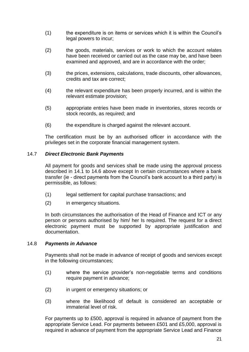- (1) the expenditure is on items or services which it is within the Council's legal powers to incur;
- (2) the goods, materials, services or work to which the account relates have been received or carried out as the case may be, and have been examined and approved, and are in accordance with the order;
- (3) the prices, extensions, calculations, trade discounts, other allowances, credits and tax are correct;
- (4) the relevant expenditure has been properly incurred, and is within the relevant estimate provision;
- (5) appropriate entries have been made in inventories, stores records or stock records, as required; and
- (6) the expenditure is charged against the relevant account.

The certification must be by an authorised officer in accordance with the privileges set in the corporate financial management system.

#### 14.7 *Direct Electronic Bank Payments*

All payment for goods and services shall be made using the approval process described in 14.1 to 14.6 above except In certain circumstances where a bank transfer (ie - direct payments from the Council's bank account to a third party) is permissible, as follows:

- (1) legal settlement for capital purchase transactions; and
- (2) in emergency situations.

In both circumstances the authorisation of the Head of Finance and ICT or any person or persons authorised by him/ her Is required. The request for a direct electronic payment must be supported by appropriate justification and documentation.

#### 14.8 *Payments in Advance*

Payments shall not be made in advance of receipt of goods and services except in the following circumstances;

- (1) where the service provider's non-negotiable terms and conditions require payment in advance;
- (2) in urgent or emergency situations; or
- (3) where the likelihood of default is considered an acceptable or immaterial level of risk.

For payments up to £500, approval is required in advance of payment from the appropriate Service Lead. For payments between £501 and £5,000, approval is required in advance of payment from the appropriate Service Lead and Finance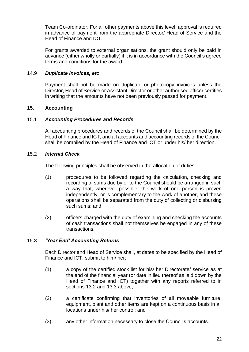Team Co-ordinator. For all other payments above this level, approval is required in advance of payment from the appropriate Director/ Head of Service and the Head of Finance and ICT.

For grants awarded to external organisations, the grant should only be paid in advance (either wholly or partially) if it is in accordance with the Council's agreed terms and conditions for the award.

# 14.9 *Duplicate Invoices, etc*

Payment shall not be made on duplicate or photocopy invoices unless the Director, Head of Service or Assistant Director or other authorised officer certifies in writing that the amounts have not been previously passed for payment.

# <span id="page-30-0"></span>**15. Accounting**

# 15.1 *Accounting Procedures and Records*

All accounting procedures and records of the Council shall be determined by the Head of Finance and ICT, and all accounts and accounting records of the Council shall be compiled by the Head of Finance and ICT or under his/ her direction.

# 15.2 *Internal Check*

The following principles shall be observed in the allocation of duties:

- (1) procedures to be followed regarding the calculation, checking and recording of sums due by or to the Council should be arranged in such a way that, wherever possible, the work of one person is proven independently, or is complementary to the work of another, and these operations shall be separated from the duty of collecting or disbursing such sums; and
- (2) officers charged with the duty of examining and checking the accounts of cash transactions shall not themselves be engaged in any of these transactions.

# 15.3 *'Year End' Accounting Returns*

Each Director and Head of Service shall, at dates to be specified by the Head of Finance and ICT, submit to him/ her:

- (1) a copy of the certified stock list for his/ her Directorate/ service as at the end of the financial year (or date in lieu thereof as laid down by the Head of Finance and ICT) together with any reports referred to in sections 13.2 and 13.3 above;
- (2) a certificate confirming that inventories of all moveable furniture, equipment, plant and other items are kept on a continuous basis in all locations under his/ her control; and
- (3) any other information necessary to close the Council's accounts.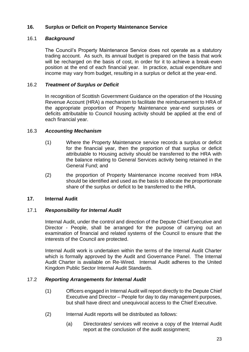# <span id="page-31-0"></span>**16. Surplus or Deficit on Property Maintenance Service**

# 16.1 *Background*

The Council's Property Maintenance Service does not operate as a statutory trading account. As such, its annual budget is prepared on the basis that work will be recharged on the basis of cost, in order for it to achieve a break-even position at the end of each financial year. In practice, actual expenditure and income may vary from budget, resulting in a surplus or deficit at the year-end.

# 16.2 *Treatment of Surplus or Deficit*

In recognition of Scottish Government Guidance on the operation of the Housing Revenue Account (HRA) a mechanism to facilitate the reimbursement to HRA of the appropriate proportion of Property Maintenance year-end surpluses or deficits attributable to Council housing activity should be applied at the end of each financial year.

# 16.3 *Accounting Mechanism*

- (1) Where the Property Maintenance service records a surplus or deficit for the financial year, then the proportion of that surplus or deficit attributable to Housing activity should be transferred to the HRA with the balance relating to General Services activity being retained in the General Fund; and
- (2) the proportion of Property Maintenance income received from HRA should be identified and used as the basis to allocate the proportionate share of the surplus or deficit to be transferred to the HRA.

# <span id="page-31-1"></span>**17. Internal Audit**

# 17.1 *Responsibility for Internal Audit*

Internal Audit, under the control and direction of the Depute Chief Executive and Director - People, shall be arranged for the purpose of carrying out an examination of financial and related systems of the Council to ensure that the interests of the Council are protected.

Internal Audit work is undertaken within the terms of the Internal Audit Charter which is formally approved by the Audit and Governance Panel. The Internal Audit Charter is available on Re-Wired. Internal Audit adheres to the United Kingdom Public Sector Internal Audit Standards.

# 17.2 *Reporting Arrangements for Internal Audit*

- (1) Officers engaged in Internal Audit will report directly to the Depute Chief Executive and Director – People for day to day management purposes, but shall have direct and unequivocal access to the Chief Executive.
- (2) Internal Audit reports will be distributed as follows:
	- (a) Directorates/ services will receive a copy of the Internal Audit report at the conclusion of the audit assignment;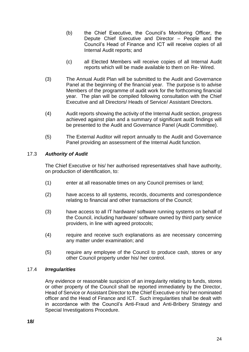- (b) the Chief Executive, the Council's Monitoring Officer, the Depute Chief Executive and Director – People and the Council's Head of Finance and ICT will receive copies of all Internal Audit reports; and
- (c) all Elected Members will receive copies of all Internal Audit reports which will be made available to them on Re- Wired.
- (3) The Annual Audit Plan will be submitted to the Audit and Governance Panel at the beginning of the financial year. The purpose is to advise Members of the programme of audit work for the forthcoming financial year. The plan will be compiled following consultation with the Chief Executive and all Directors/ Heads of Service/ Assistant Directors.
- (4) Audit reports showing the activity of the Internal Audit section, progress achieved against plan and a summary of significant audit findings will be presented to the Audit and Governance Panel (Audit Committee).
- (5) The External Auditor will report annually to the Audit and Governance Panel providing an assessment of the Internal Audit function.

# 17.3 *Authority of Audit*

The Chief Executive or his/ her authorised representatives shall have authority, on production of identification, to:

- (1) enter at all reasonable times on any Council premises or land;
- (2) have access to all systems, records, documents and correspondence relating to financial and other transactions of the Council;
- (3) have access to all IT hardware/ software running systems on behalf of the Council, including hardware/ software owned by third party service providers, in line with agreed protocols;
- (4) require and receive such explanations as are necessary concerning any matter under examination; and
- (5) require any employee of the Council to produce cash, stores or any other Council property under his/ her control.

# 17.4 *Irregularities*

Any evidence or reasonable suspicion of an irregularity relating to funds, stores or other property of the Council shall be reported immediately by the Director, Head of Service or Assistant Director to the Chief Executive or his/ her nominated officer and the Head of Finance and ICT. Such irregularities shall be dealt with in accordance with the Council's Anti-Fraud and Anti-Bribery Strategy and Special Investigations Procedure.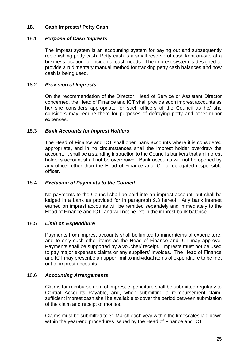# <span id="page-33-0"></span>**18. Cash Imprests/ Petty Cash**

# 18.1 *Purpose of Cash Imprests*

The imprest system is an accounting system for paying out and subsequently replenishing petty cash. Petty cash is a small reserve of cash kept on-site at a business location for incidental cash needs. The imprest system is designed to provide a rudimentary manual method for tracking petty cash balances and how cash is being used.

# 18.2 *Provision of Imprests*

On the recommendation of the Director, Head of Service or Assistant Director concerned, the Head of Finance and ICT shall provide such imprest accounts as he/ she considers appropriate for such officers of the Council as he/ she considers may require them for purposes of defraying petty and other minor expenses.

#### 18.3 *Bank Accounts for Imprest Holders*

The Head of Finance and ICT shall open bank accounts where it is considered appropriate, and in no circumstances shall the imprest holder overdraw the account. It shall be a standing instruction to the Council's bankers that an imprest holder's account shall not be overdrawn. Bank accounts will not be opened by any officer other than the Head of Finance and ICT or delegated responsible officer.

# 18.4 *Exclusion of Payments to the Council*

No payments to the Council shall be paid into an imprest account, but shall be lodged in a bank as provided for in paragraph 9.3 hereof. Any bank interest earned on imprest accounts will be remitted separately and immediately to the Head of Finance and ICT, and will not be left in the imprest bank balance.

# 18.5 *Limit on Expenditure*

Payments from imprest accounts shall be limited to minor items of expenditure, and to only such other items as the Head of Finance and ICT may approve. Payments shall be supported by a voucher/ receipt. Imprests must not be used to pay major expenses claims or any suppliers' invoices. The Head of Finance and ICT may prescribe an upper limit to individual items of expenditure to be met out of imprest accounts.

# 18.6 *Accounting Arrangements*

Claims for reimbursement of imprest expenditure shall be submitted regularly to Central Accounts Payable, and, when submitting a reimbursement claim, sufficient imprest cash shall be available to cover the period between submission of the claim and receipt of monies.

Claims must be submitted to 31 March each year within the timescales laid down within the year-end procedures issued by the Head of Finance and ICT.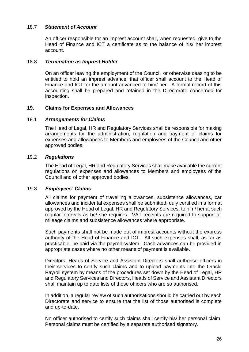# 18.7 *Statement of Account*

An officer responsible for an imprest account shall, when requested, give to the Head of Finance and ICT a certificate as to the balance of his/ her imprest account.

# 18.8 *Termination as Imprest Holder*

On an officer leaving the employment of the Council, or otherwise ceasing to be entitled to hold an imprest advance, that officer shall account to the Head of Finance and ICT for the amount advanced to him/ her. A formal record of this accounting shall be prepared and retained in the Directorate concerned for inspection.

# <span id="page-34-0"></span>**19. Claims for Expenses and Allowances**

# 19.1 *Arrangements for Claims*

The Head of Legal, HR and Regulatory Services shall be responsible for making arrangements for the administration, regulation and payment of claims for expenses and allowances to Members and employees of the Council and other approved bodies.

# 19.2 *Regulations*

The Head of Legal, HR and Regulatory Services shall make available the current regulations on expenses and allowances to Members and employees of the Council and of other approved bodies.

# 19.3 *Employees' Claims*

All claims for payment of travelling allowances, subsistence allowances, car allowances and incidental expenses shall be submitted, duly certified in a format approved by the Head of Legal, HR and Regulatory Services, to him/ her at such regular intervals as he/ she requires. VAT receipts are required to support all mileage claims and subsistence allowances where appropriate.

Such payments shall not be made out of imprest accounts without the express authority of the Head of Finance and ICT. All such expenses shall, as far as practicable, be paid via the payroll system. Cash advances can be provided in appropriate cases where no other means of payment is available.

Directors, Heads of Service and Assistant Directors shall authorise officers in their services to certify such claims and to upload payments into the Oracle Payroll system by means of the procedures set down by the Head of Legal, HR and Regulatory Services and Directors, Heads of Service and Assistant Directors shall maintain up to date lists of those officers who are so authorised.

In addition, a regular review of such authorisations should be carried out by each Directorate and service to ensure that the list of those authorised is complete and up-to-date.

No officer authorised to certify such claims shall certify his/ her personal claim. Personal claims must be certified by a separate authorised signatory.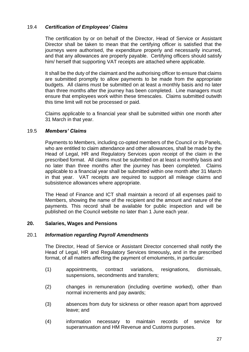# 19.4 *Certification of Employees' Claims*

The certification by or on behalf of the Director, Head of Service or Assistant Director shall be taken to mean that the certifying officer is satisfied that the journeys were authorised, the expenditure properly and necessarily incurred, and that any allowances are properly payable. Certifying officers should satisfy him/ herself that supporting VAT receipts are attached where applicable.

It shall be the duty of the claimant and the authorising officer to ensure that claims are submitted promptly to allow payments to be made from the appropriate budgets. All claims must be submitted on at least a monthly basis and no later than three months after the journey has been completed. Line managers must ensure that employees work within these timescales. Claims submitted outwith this time limit will not be processed or paid.

Claims applicable to a financial year shall be submitted within one month after 31 March in that year.

# 19.5 *Members' Claims*

Payments to Members, including co-opted members of the Council or its Panels, who are entitled to claim attendance and other allowances, shall be made by the Head of Legal, HR and Regulatory Services upon receipt of the claim in the prescribed format. All claims must be submitted on at least a monthly basis and no later than three months after the journey has been completed. Claims applicable to a financial year shall be submitted within one month after 31 March in that year. VAT receipts are required to support all mileage claims and subsistence allowances where appropriate.

The Head of Finance and ICT shall maintain a record of all expenses paid to Members, showing the name of the recipient and the amount and nature of the payments. This record shall be available for public inspection and will be published on the Council website no later than 1 June each year.

# <span id="page-35-0"></span>**20. Salaries, Wages and Pensions**

# 20.1 *Information regarding Payroll Amendments*

The Director, Head of Service or Assistant Director concerned shall notify the Head of Legal, HR and Regulatory Services timeously**,** and in the prescribed format, of all matters affecting the payment of emoluments, in particular:

- (1) appointments, contract variations, resignations, dismissals, suspensions, secondments and transfers;
- (2) changes in remuneration (including overtime worked), other than normal increments and pay awards;
- (3) absences from duty for sickness or other reason apart from approved leave; and
- (4) information necessary to maintain records of service for superannuation and HM Revenue and Customs purposes.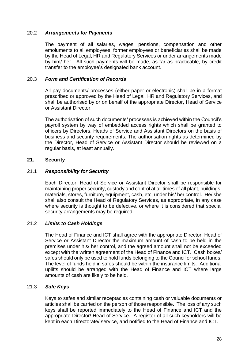# 20.2 *Arrangements for Payments*

The payment of all salaries, wages, pensions, compensation and other emoluments to all employees, former employees or beneficiaries shall be made by the Head of Legal, HR and Regulatory Services or under arrangements made by him/ her. All such payments will be made, as far as practicable, by credit transfer to the employee's designated bank account.

# 20.3 *Form and Certification of Records*

All pay documents/ processes (either paper or electronic) shall be in a format prescribed or approved by the Head of Legal, HR and Regulatory Services, and shall be authorised by or on behalf of the appropriate Director, Head of Service or Assistant Director.

The authorisation of such documents/ processes is achieved within the Council's payroll system by way of embedded access rights which shall be granted to officers by Directors, Heads of Service and Assistant Directors on the basis of business and security requirements. The authorisation rights as determined by the Director, Head of Service or Assistant Director should be reviewed on a regular basis, at least annually.

# <span id="page-36-0"></span>**21. Security**

# 21.1 *Responsibility for Security*

Each Director, Head of Service or Assistant Director shall be responsible for maintaining proper security, custody and control at all times of all plant, buildings, materials, stores, furniture, equipment, cash, etc, under his/ her control. He/ she shall also consult the Head of Regulatory Services, as appropriate, in any case where security is thought to be defective, or where it is considered that special security arrangements may be required.

# 21.2 *Limits to Cash Holdings*

The Head of Finance and ICT shall agree with the appropriate Director, Head of Service or Assistant Director the maximum amount of cash to be held in the premises under his/ her control, and the agreed amount shall not be exceeded except with the written agreement of the Head of Finance and ICT. Cash boxes/ safes should only be used to hold funds belonging to the Council or school funds. The level of funds held in safes should be within the insurance limits. Additional uplifts should be arranged with the Head of Finance and ICT where large amounts of cash are likely to be held.

# 21.3 *Safe Keys*

Keys to safes and similar receptacles containing cash or valuable documents or articles shall be carried on the person of those responsible. The loss of any such keys shall be reported immediately to the Head of Finance and ICT and the appropriate Director/ Head of Service. A register of all such keyholders will be kept in each Directorate/ service, and notified to the Head of Finance and ICT.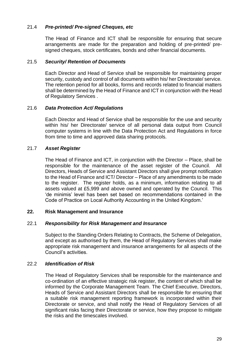# 21.4 *Pre-printed/ Pre-signed Cheques, etc*

The Head of Finance and ICT shall be responsible for ensuring that secure arrangements are made for the preparation and holding of pre-printed/ presigned cheques, stock certificates, bonds and other financial documents.

#### 21.5 *Security/ Retention of Documents*

Each Director and Head of Service shall be responsible for maintaining proper security, custody and control of all documents within his/ her Directorate/ service. The retention period for all books, forms and records related to financial matters shall be determined by the Head of Finance and ICT in conjunction with the Head of Regulatory Services .

#### 21.6 *Data Protection Act/ Regulations*

Each Director and Head of Service shall be responsible for the use and security within his/ her Directorate/ service of all personal data output from Council computer systems in line with the Data Protection Act and Regulations in force from time to time and approved data sharing protocols.

# 21.7 *Asset Register*

The Head of Finance and ICT, in conjunction with the Director – Place, shall be responsible for the maintenance of the asset register of the Council. All Directors, Heads of Service and Assistant Directors shall give prompt notification to the Head of Finance and ICT/ Director – Place of any amendments to be made to the register. The register holds, as a minimum, information relating to all assets valued at £5,999 and above owned and operated by the Council. This 'de minimis' level has been set based on recommendations contained in the Code of Practice on Local Authority Accounting in the United Kingdom.'

# <span id="page-37-0"></span>**22. Risk Management and Insurance**

#### 22.1 *Responsibility for Risk Management and Insurance*

Subject to the Standing Orders Relating to Contracts, the Scheme of Delegation, and except as authorised by them, the Head of Regulatory Services shall make appropriate risk management and insurance arrangements for all aspects of the Council's activities.

# 22.2 *Identification of Risk*

The Head of Regulatory Services shall be responsible for the maintenance and co-ordination of an effective strategic risk register, the content of which shall be informed by the Corporate Management Team. The Chief Executive, Directors, Heads of Service and Assistant Directors shall be responsible for ensuring that a suitable risk management reporting framework is incorporated within their Directorate or service, and shall notify the Head of Regulatory Services of all significant risks facing their Directorate or service, how they propose to mitigate the risks and the timescales involved.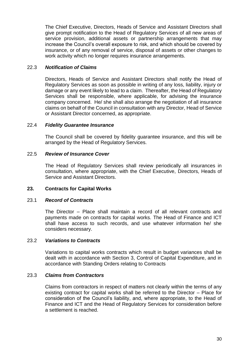The Chief Executive, Directors, Heads of Service and Assistant Directors shall give prompt notification to the Head of Regulatory Services of all new areas of service provision, additional assets or partnership arrangements that may increase the Council's overall exposure to risk, and which should be covered by insurance, or of any removal of service, disposal of assets or other changes to work activity which no longer requires insurance arrangements.

# 22.3 *Notification of Claims*

Directors, Heads of Service and Assistant Directors shall notify the Head of Regulatory Services as soon as possible in writing of any loss, liability, injury or damage or any event likely to lead to a claim. Thereafter, the Head of Regulatory Services shall be responsible, where applicable, for advising the insurance company concerned. He/ she shall also arrange the negotiation of all insurance claims on behalf of the Council in consultation with any Director, Head of Service or Assistant Director concerned, as appropriate.

# 22.4 *Fidelity Guarantee Insurance*

The Council shall be covered by fidelity guarantee insurance, and this will be arranged by the Head of Regulatory Services.

# 22.5 *Review of Insurance Cover*

The Head of Regulatory Services shall review periodically all insurances in consultation, where appropriate, with the Chief Executive, Directors, Heads of Service and Assistant Directors.

# <span id="page-38-0"></span>**23. Contracts for Capital Works**

# 23.1 *Record of Contracts*

The Director – Place shall maintain a record of all relevant contracts and payments made on contracts for capital works. The Head of Finance and ICT shall have access to such records, and use whatever information he/ she considers necessary.

# 23.2 *Variations to Contracts*

Variations to capital works contracts which result in budget variances shall be dealt with in accordance with Section 3, Control of Capital Expenditure, and in accordance with Standing Orders relating to Contracts

# 23.3 *Claims from Contractors*

Claims from contractors in respect of matters not clearly within the terms of any existing contract for capital works shall be referred to the Director – Place for consideration of the Council's liability, and, where appropriate, to the Head of Finance and ICT and the Head of Regulatory Services for consideration before a settlement is reached.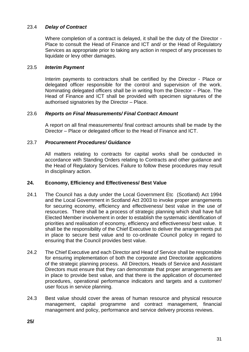# 23.4 *Delay of Contract*

Where completion of a contract is delayed, it shall be the duty of the Director - Place to consult the Head of Finance and ICT and/ or the Head of Regulatory Services as appropriate prior to taking any action in respect of any processes to liquidate or levy other damages.

#### 23.5 *Interim Payment*

Interim payments to contractors shall be certified by the Director - Place or delegated officer responsible for the control and supervision of the work. Nominating delegated officers shall be in writing from the Director – Place. The Head of Finance and ICT shall be provided with specimen signatures of the authorised signatories by the Director – Place.

#### 23.6 *Reports on Final Measurements/ Final Contract Amount*

A report on all final measurements/ final contract amounts shall be made by the Director – Place or delegated officer to the Head of Finance and ICT.

#### 23.7 *Procurement Procedures/ Guidance*

All matters relating to contracts for capital works shall be conducted in accordance with Standing Orders relating to Contracts and other guidance and the Head of Regulatory Services. Failure to follow these procedures may result in disciplinary action.

# <span id="page-39-0"></span>**24. Economy, Efficiency and Effectiveness/ Best Value**

- 24.1 The Council has a duty under the Local Government Etc (Scotland) Act 1994 and the Local Government in Scotland Act 2003 to invoke proper arrangements for securing economy, efficiency and effectiveness/ best value in the use of resources. There shall be a process of strategic planning which shall have full Elected Member involvement in order to establish the systematic identification of priorities and realisation of economy, efficiency and effectiveness/ best value. It shall be the responsibility of the Chief Executive to deliver the arrangements put in place to secure best value and to co-ordinate Council policy in regard to ensuring that the Council provides best value.
- 24.2 The Chief Executive and each Director and Head of Service shall be responsible for ensuring implementation of both the corporate and Directorate applications of the strategic planning process. All Directors, Heads of Service and Assistant Directors must ensure that they can demonstrate that proper arrangements are in place to provide best value, and that there is the application of documented procedures, operational performance indicators and targets and a customer/ user focus in service planning.
- 24.3 Best value should cover the areas of human resource and physical resource management, capital programme and contract management, financial management and policy, performance and service delivery process reviews.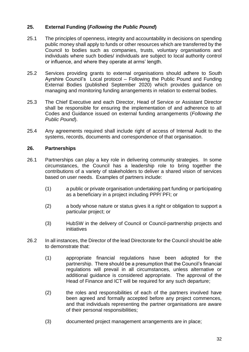# <span id="page-40-0"></span>**25. External Funding (***Following the Public Pound***)**

- 25.1 The principles of openness, integrity and accountability in decisions on spending public money shall apply to funds or other resources which are transferred by the Council to bodies such as companies, trusts, voluntary organisations and individuals where such bodies/ individuals are subject to local authority control or influence, and where they operate at arms' length.
- 25.2 Services providing grants to external organisations should adhere to South Ayrshire Council's Local protocol – Following the Public Pound and Funding External Bodies (published September 2020) which provides guidance on managing and monitoring funding arrangements in relation to external bodies.
- 25.3 The Chief Executive and each Director, Head of Service or Assistant Director shall be responsible for ensuring the implementation of and adherence to all Codes and Guidance issued on external funding arrangements (*Following the Public Pound*).
- 25.4 Any agreements required shall include right of access of Internal Audit to the systems, records, documents and correspondence of that organisation.

# <span id="page-40-1"></span>**26. Partnerships**

- 26.1 Partnerships can play a key role in delivering community strategies. In some circumstances, the Council has a leadership role to bring together the contributions of a variety of stakeholders to deliver a shared vision of services based on user needs. Examples of partners include:
	- (1) a public or private organisation undertaking part funding or participating as a beneficiary in a project including PPP/ PFI; or
	- (2) a body whose nature or status gives it a right or obligation to support a particular project; or
	- (3) HubSW in the delivery of Council or Council-partnership projects and initiatives
- 26.2 In all instances, the Director of the lead Directorate for the Council should be able to demonstrate that:
	- (1) appropriate financial regulations have been adopted for the partnership. There should be a presumption that the Council's financial regulations will prevail in all circumstances, unless alternative or additional guidance is considered appropriate. The approval of the Head of Finance and ICT will be required for any such departure;
	- (2) the roles and responsibilities of each of the partners involved have been agreed and formally accepted before any project commences, and that individuals representing the partner organisations are aware of their personal responsibilities;
	- (3) documented project management arrangements are in place;